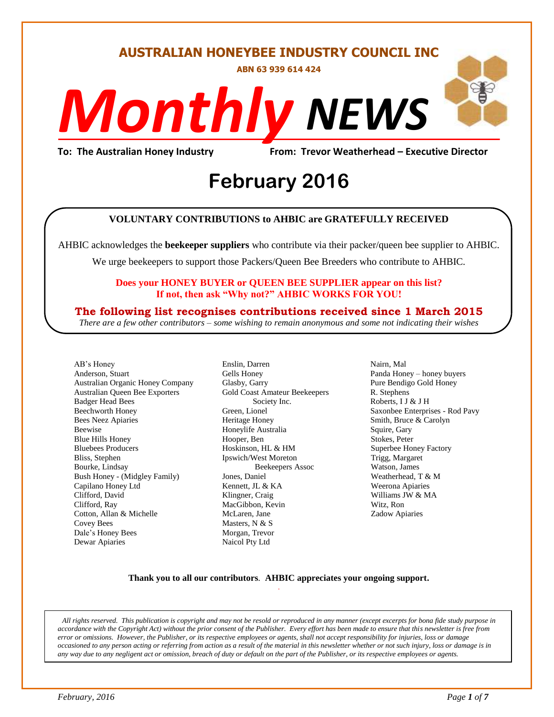#### **AUSTRALIAN HONEYBEE INDUSTRY COUNCIL INC**

**ABN 63 939 614 424**

# *NEWS Monthly*

**To: The Australian Honey Industry From: Trevor Weatherhead – Executive Director**

## *DS* **February 2016**

#### **VOLUNTARY CONTRIBUTIONS to AHBIC are GRATEFULLY RECEIVED**

AHBIC acknowledges the **beekeeper suppliers** who contribute via their packer/queen bee supplier to AHBIC.

We urge beekeepers to support those Packers/Queen Bee Breeders who contribute to AHBIC.

#### **Does your HONEY BUYER or QUEEN BEE SUPPLIER appear on this list? If not, then ask "Why not?" AHBIC WORKS FOR YOU!**

#### **The following list recognises contributions received since 1 March 2015**

*There are a few other contributors – some wishing to remain anonymous and some not indicating their wishes*

AB's Honey Anderson, Stuart Australian Organic Honey Company Australian Queen Bee Exporters Badger Head Bees Beechworth Honey Bees Neez Apiaries Beewise Blue Hills Honey Bluebees Producers Bliss, Stephen Bourke, Lindsay Bush Honey - (Midgley Family) Capilano Honey Ltd Clifford, David Clifford, Ray Cotton, Allan & Michelle Covey Bees Dale's Honey Bees Dewar Apiaries

Enslin, Darren Gells Honey Glasby, Garry Gold Coast Amateur Beekeepers Society Inc. Green, Lionel Heritage Honey Honeylife Australia Hooper, Ben Hoskinson, HL & HM Ipswich/West Moreton Beekeepers Assoc Jones, Daniel Kennett, JL & KA Klingner, Craig MacGibbon, Kevin McLaren, Jane Masters, N & S Morgan, Trevor Naicol Pty Ltd

Nairn, Mal Panda Honey – honey buyers Pure Bendigo Gold Honey R. Stephens Roberts, I J & J H Saxonbee Enterprises - Rod Pavy Smith, Bruce & Carolyn Squire, Gary Stokes, Peter Superbee Honey Factory Trigg, Margaret Watson, James Weatherhead, T & M Weerona Apiaries Williams JW & MA Witz, Ron Zadow Apiaries

#### **Thank you to all our contributors***.* **AHBIC appreciates your ongoing support.** .

*All rights reserved. This publication is copyright and may not be resold or reproduced in any manner (except excerpts for bona fide study purpose in accordance with the Copyright Act) without the prior consent of the Publisher. Every effort has been made to ensure that this newsletter is free from error or omissions. However, the Publisher, or its respective employees or agents, shall not accept responsibility for injuries, loss or damage occasioned to any person acting or referring from action as a result of the material in this newsletter whether or not such injury, loss or damage is in any way due to any negligent act or omission, breach of duty or default on the part of the Publisher, or its respective employees or agents.*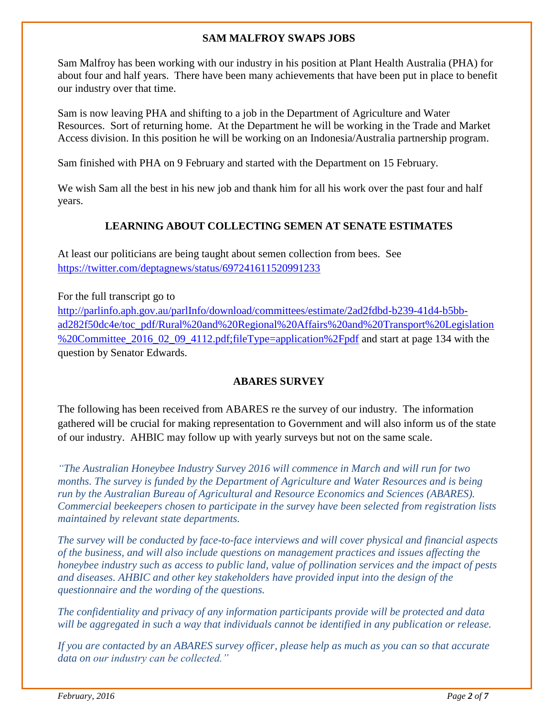#### **SAM MALFROY SWAPS JOBS**

Sam Malfroy has been working with our industry in his position at Plant Health Australia (PHA) for about four and half years. There have been many achievements that have been put in place to benefit our industry over that time.

Sam is now leaving PHA and shifting to a job in the Department of Agriculture and Water Resources. Sort of returning home. At the Department he will be working in the Trade and Market Access division. In this position he will be working on an Indonesia/Australia partnership program.

Sam finished with PHA on 9 February and started with the Department on 15 February.

We wish Sam all the best in his new job and thank him for all his work over the past four and half years.

#### **LEARNING ABOUT COLLECTING SEMEN AT SENATE ESTIMATES**

At least our politicians are being taught about semen collection from bees. See <https://twitter.com/deptagnews/status/697241611520991233>

For the full transcript go to [http://parlinfo.aph.gov.au/parlInfo/download/committees/estimate/2ad2fdbd-b239-41d4-b5bb](http://parlinfo.aph.gov.au/parlInfo/download/committees/estimate/2ad2fdbd-b239-41d4-b5bb-ad282f50dc4e/toc_pdf/Rural%20and%20Regional%20Affairs%20and%20Transport%20Legislation%20Committee_2016_02_09_4112.pdf;fileType=application%2Fpdf)[ad282f50dc4e/toc\\_pdf/Rural%20and%20Regional%20Affairs%20and%20Transport%20Legislation](http://parlinfo.aph.gov.au/parlInfo/download/committees/estimate/2ad2fdbd-b239-41d4-b5bb-ad282f50dc4e/toc_pdf/Rural%20and%20Regional%20Affairs%20and%20Transport%20Legislation%20Committee_2016_02_09_4112.pdf;fileType=application%2Fpdf) %20Committee 2016 02 09 4112.pdf;fileType=application%2Fpdf and start at page 134 with the question by Senator Edwards.

#### **ABARES SURVEY**

The following has been received from ABARES re the survey of our industry. The information gathered will be crucial for making representation to Government and will also inform us of the state of our industry. AHBIC may follow up with yearly surveys but not on the same scale.

*"The Australian Honeybee Industry Survey 2016 will commence in March and will run for two months. The survey is funded by the Department of Agriculture and Water Resources and is being run by the Australian Bureau of Agricultural and Resource Economics and Sciences (ABARES). Commercial beekeepers chosen to participate in the survey have been selected from registration lists maintained by relevant state departments.* 

*The survey will be conducted by face-to-face interviews and will cover physical and financial aspects of the business, and will also include questions on management practices and issues affecting the honeybee industry such as access to public land, value of pollination services and the impact of pests and diseases. AHBIC and other key stakeholders have provided input into the design of the questionnaire and the wording of the questions.*

*The confidentiality and privacy of any information participants provide will be protected and data will be aggregated in such a way that individuals cannot be identified in any publication or release.*

*If you are contacted by an ABARES survey officer, please help as much as you can so that accurate data on our industry can be collected."*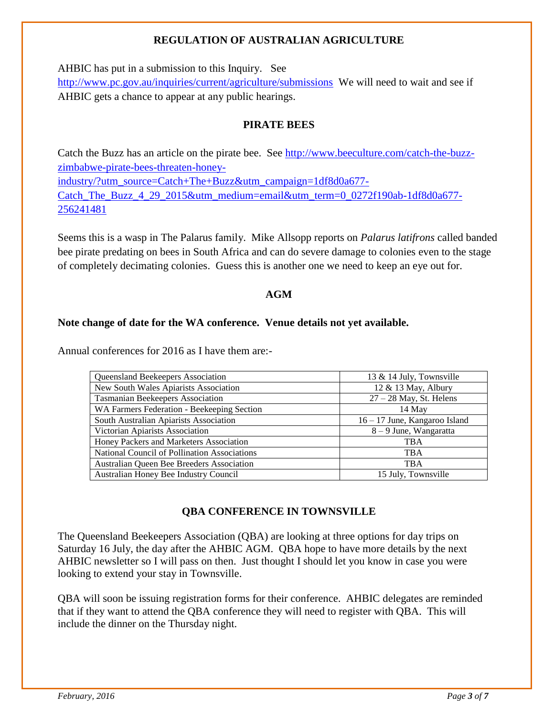#### **REGULATION OF AUSTRALIAN AGRICULTURE**

AHBIC has put in a submission to this Inquiry. See

<http://www.pc.gov.au/inquiries/current/agriculture/submissions>We will need to wait and see if AHBIC gets a chance to appear at any public hearings.

#### **PIRATE BEES**

Catch the Buzz has an article on the pirate bee. See [http://www.beeculture.com/catch-the-buzz](http://www.beeculture.com/catch-the-buzz-zimbabwe-pirate-bees-threaten-honey-industry/?utm_source=Catch+The+Buzz&utm_campaign=1df8d0a677-Catch_The_Buzz_4_29_2015&utm_medium=email&utm_term=0_0272f190ab-1df8d0a677-256241481)[zimbabwe-pirate-bees-threaten-honey](http://www.beeculture.com/catch-the-buzz-zimbabwe-pirate-bees-threaten-honey-industry/?utm_source=Catch+The+Buzz&utm_campaign=1df8d0a677-Catch_The_Buzz_4_29_2015&utm_medium=email&utm_term=0_0272f190ab-1df8d0a677-256241481)[industry/?utm\\_source=Catch+The+Buzz&utm\\_campaign=1df8d0a677-](http://www.beeculture.com/catch-the-buzz-zimbabwe-pirate-bees-threaten-honey-industry/?utm_source=Catch+The+Buzz&utm_campaign=1df8d0a677-Catch_The_Buzz_4_29_2015&utm_medium=email&utm_term=0_0272f190ab-1df8d0a677-256241481) Catch The Buzz 4 29 2015&utm\_medium=email&utm\_term=0\_0272f190ab-1df8d0a677-[256241481](http://www.beeculture.com/catch-the-buzz-zimbabwe-pirate-bees-threaten-honey-industry/?utm_source=Catch+The+Buzz&utm_campaign=1df8d0a677-Catch_The_Buzz_4_29_2015&utm_medium=email&utm_term=0_0272f190ab-1df8d0a677-256241481)

Seems this is a wasp in The Palarus family. Mike Allsopp reports on *Palarus latifrons* called banded bee pirate predating on bees in South Africa and can do severe damage to colonies even to the stage of completely decimating colonies. Guess this is another one we need to keep an eye out for.

#### **AGM**

#### **Note change of date for the WA conference. Venue details not yet available.**

Annual conferences for 2016 as I have them are:-

| <b>Queensland Beekeepers Association</b>     | 13 & 14 July, Townsville      |
|----------------------------------------------|-------------------------------|
| New South Wales Apiarists Association        | 12 & 13 May, Albury           |
| Tasmanian Beekeepers Association             | $27 - 28$ May, St. Helens     |
| WA Farmers Federation - Beekeeping Section   | 14 May                        |
| South Australian Apiarists Association       | 16 – 17 June, Kangaroo Island |
| Victorian Apiarists Association              | 8 – 9 June, Wangaratta        |
| Honey Packers and Marketers Association      | <b>TBA</b>                    |
| National Council of Pollination Associations | <b>TBA</b>                    |
| Australian Queen Bee Breeders Association    | <b>TBA</b>                    |
| Australian Honey Bee Industry Council        | 15 July, Townsville           |

#### **QBA CONFERENCE IN TOWNSVILLE**

The Queensland Beekeepers Association (QBA) are looking at three options for day trips on Saturday 16 July, the day after the AHBIC AGM. QBA hope to have more details by the next AHBIC newsletter so I will pass on then. Just thought I should let you know in case you were looking to extend your stay in Townsville.

QBA will soon be issuing registration forms for their conference. AHBIC delegates are reminded that if they want to attend the QBA conference they will need to register with QBA. This will include the dinner on the Thursday night.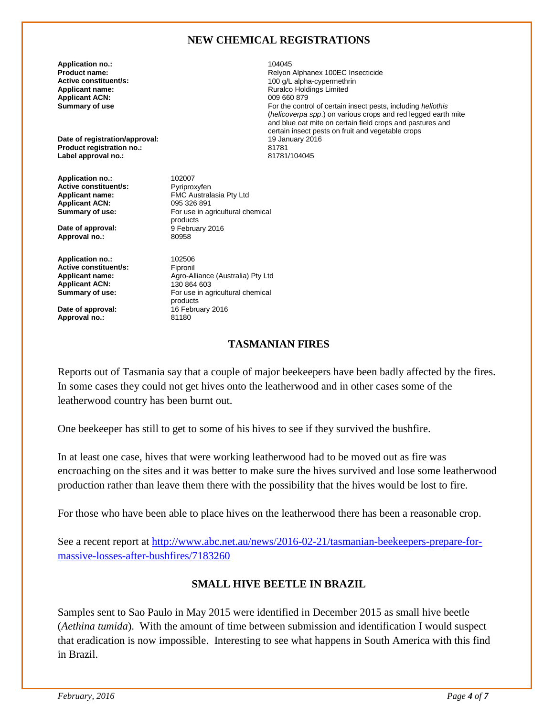#### **NEW CHEMICAL REGISTRATIONS**

Ruralco Holdings Limited<br>009 660 879

For the control of certain insect pests, including *heliothis* (*helicoverpa spp*.) on various crops and red legged earth mite and blue oat mite on certain field crops and pastures and

certain insect pests on fruit and vegetable crops

**Application no.:** 2010 2011 2022 2023 2024 2024 2022 2022 2023 2024 2022 2023 2024 2022 2023 2024 2022 2023 20<br>Product name: 2022 2023 2022 2023 2024 2022 2023 2024 2022 2023 2024 2023 2024 2022 2023 2024 2023 2024 2023 2 **Product name: Relyon Alphanex 100EC Insecticide**<br> **Active constituent/s: Relyon Alphanex 100EC Insecticide**<br>
100 a/L alpha-cypermethrin **Active constituent/s:** <br> **Applicant name:** <br> **Applicant name:** <br> **Applicant name:** <br> **Applicant name:** <br> **Applicant name:** <br> **Applicant name:** <br> **Applicant name:** <br> **Applicant name:** <br> **Applicant name:** <br> **Applicant name: Applicant ACN:**<br>Summary of use

**Date of registration/approval:** 19 January 2016<br> **Product registration no.:** 201781 **Product registration no.:** 81781 **Label approval no.:** 

**Application no.:** 102007<br> **Active constituent/s:** Pyriproxyfen **Active constituent/s:**<br>Applicant name: **Applicant ACN:**<br>Summary of use:

**Date of approval:** 9 February 2016<br> **Approval no.:** 80958 **Approval no.:** 

**Application no.:** 102506<br> **Active constituent/s:** Fipronil **Active constituent/s:**<br>Applicant name: Applicant ACN:<br>Summary of use:

**Date of approval: 16 February 2016**<br> **Approval no.:** 81180 **Approval no.:** 

FMC Australasia Pty Ltd<br>095 326 891 **Summary of use:** For use in agricultural chemical products<br>9 February 2016

Agro-Alliance (Australia) Pty Ltd<br>130 864 603 For use in agricultural chemical products

#### **TASMANIAN FIRES**

Reports out of Tasmania say that a couple of major beekeepers have been badly affected by the fires. In some cases they could not get hives onto the leatherwood and in other cases some of the leatherwood country has been burnt out.

One beekeeper has still to get to some of his hives to see if they survived the bushfire.

In at least one case, hives that were working leatherwood had to be moved out as fire was encroaching on the sites and it was better to make sure the hives survived and lose some leatherwood production rather than leave them there with the possibility that the hives would be lost to fire.

For those who have been able to place hives on the leatherwood there has been a reasonable crop.

See a recent report at [http://www.abc.net.au/news/2016-02-21/tasmanian-beekeepers-prepare-for](http://www.abc.net.au/news/2016-02-21/tasmanian-beekeepers-prepare-for-massive-losses-after-bushfires/7183260)[massive-losses-after-bushfires/7183260](http://www.abc.net.au/news/2016-02-21/tasmanian-beekeepers-prepare-for-massive-losses-after-bushfires/7183260)

#### **SMALL HIVE BEETLE IN BRAZIL**

Samples sent to Sao Paulo in May 2015 were identified in December 2015 as small hive beetle (*Aethina tumida*). With the amount of time between submission and identification I would suspect that eradication is now impossible. Interesting to see what happens in South America with this find in Brazil.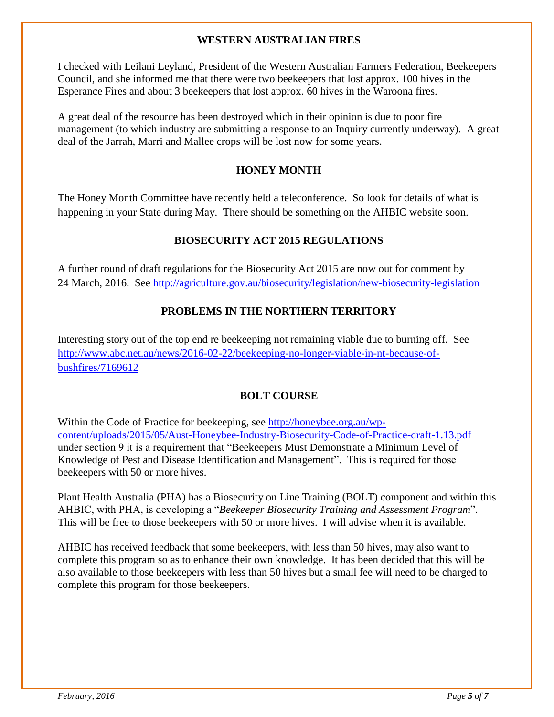#### **WESTERN AUSTRALIAN FIRES**

I checked with Leilani Leyland, President of the Western Australian Farmers Federation, Beekeepers Council, and she informed me that there were two beekeepers that lost approx. 100 hives in the Esperance Fires and about 3 beekeepers that lost approx. 60 hives in the Waroona fires.

A great deal of the resource has been destroyed which in their opinion is due to poor fire management (to which industry are submitting a response to an Inquiry currently underway). A great deal of the Jarrah, Marri and Mallee crops will be lost now for some years.

#### **HONEY MONTH**

The Honey Month Committee have recently held a teleconference. So look for details of what is happening in your State during May. There should be something on the AHBIC website soon.

#### **BIOSECURITY ACT 2015 REGULATIONS**

A further round of draft regulations for the Biosecurity Act 2015 are now out for comment by 24 March, 2016. See<http://agriculture.gov.au/biosecurity/legislation/new-biosecurity-legislation>

#### **PROBLEMS IN THE NORTHERN TERRITORY**

Interesting story out of the top end re beekeeping not remaining viable due to burning off. See [http://www.abc.net.au/news/2016-02-22/beekeeping-no-longer-viable-in-nt-because-of](http://www.abc.net.au/news/2016-02-22/beekeeping-no-longer-viable-in-nt-because-of-bushfires/7169612)[bushfires/7169612](http://www.abc.net.au/news/2016-02-22/beekeeping-no-longer-viable-in-nt-because-of-bushfires/7169612)

#### **BOLT COURSE**

Within the Code of Practice for beekeeping, see [http://honeybee.org.au/wp](http://honeybee.org.au/wp-content/uploads/2015/05/Aust-Honeybee-Industry-Biosecurity-Code-of-Practice-draft-1.13.pdf)[content/uploads/2015/05/Aust-Honeybee-Industry-Biosecurity-Code-of-Practice-draft-1.13.pdf](http://honeybee.org.au/wp-content/uploads/2015/05/Aust-Honeybee-Industry-Biosecurity-Code-of-Practice-draft-1.13.pdf)  under section 9 it is a requirement that "Beekeepers Must Demonstrate a Minimum Level of Knowledge of Pest and Disease Identification and Management". This is required for those beekeepers with 50 or more hives.

Plant Health Australia (PHA) has a Biosecurity on Line Training (BOLT) component and within this AHBIC, with PHA, is developing a "*Beekeeper Biosecurity Training and Assessment Program*". This will be free to those beekeepers with 50 or more hives. I will advise when it is available.

AHBIC has received feedback that some beekeepers, with less than 50 hives, may also want to complete this program so as to enhance their own knowledge. It has been decided that this will be also available to those beekeepers with less than 50 hives but a small fee will need to be charged to complete this program for those beekeepers.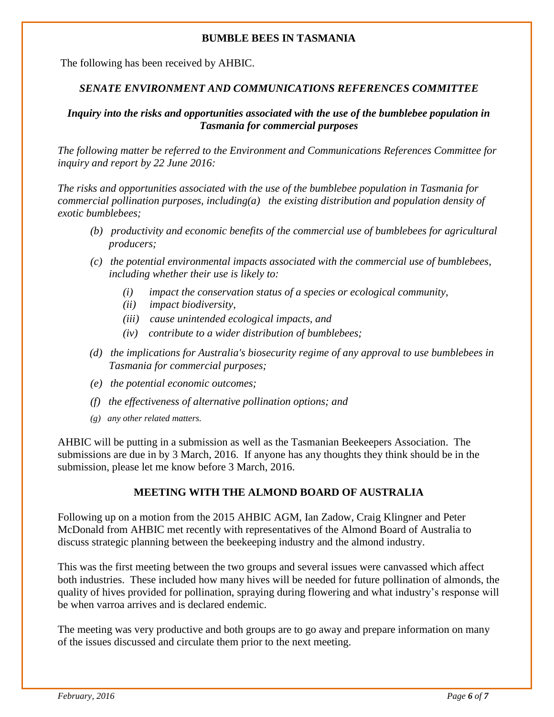#### **BUMBLE BEES IN TASMANIA**

The following has been received by AHBIC.

#### *SENATE ENVIRONMENT AND COMMUNICATIONS REFERENCES COMMITTEE*

#### *Inquiry into the risks and opportunities associated with the use of the bumblebee population in Tasmania for commercial purposes*

*The following matter be referred to the Environment and Communications References Committee for inquiry and report by 22 June 2016:* 

*The risks and opportunities associated with the use of the bumblebee population in Tasmania for commercial pollination purposes, including(a) the existing distribution and population density of exotic bumblebees;* 

- *(b) productivity and economic benefits of the commercial use of bumblebees for agricultural producers;*
- *(c) the potential environmental impacts associated with the commercial use of bumblebees, including whether their use is likely to:* 
	- *(i) impact the conservation status of a species or ecological community,*
	- *(ii) impact biodiversity,*
	- *(iii) cause unintended ecological impacts, and*
	- *(iv) contribute to a wider distribution of bumblebees;*
- *(d) the implications for Australia's biosecurity regime of any approval to use bumblebees in Tasmania for commercial purposes;*
- *(e) the potential economic outcomes;*
- *(f) the effectiveness of alternative pollination options; and*
- *(g) any other related matters.*

AHBIC will be putting in a submission as well as the Tasmanian Beekeepers Association. The submissions are due in by 3 March, 2016. If anyone has any thoughts they think should be in the submission, please let me know before 3 March, 2016.

#### **MEETING WITH THE ALMOND BOARD OF AUSTRALIA**

Following up on a motion from the 2015 AHBIC AGM, Ian Zadow, Craig Klingner and Peter McDonald from AHBIC met recently with representatives of the Almond Board of Australia to discuss strategic planning between the beekeeping industry and the almond industry.

This was the first meeting between the two groups and several issues were canvassed which affect both industries. These included how many hives will be needed for future pollination of almonds, the quality of hives provided for pollination, spraying during flowering and what industry's response will be when varroa arrives and is declared endemic.

The meeting was very productive and both groups are to go away and prepare information on many of the issues discussed and circulate them prior to the next meeting.